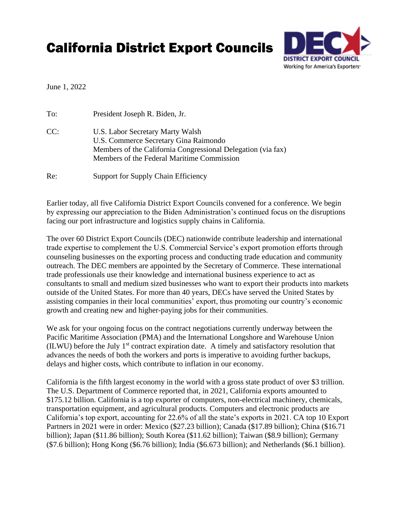## California District Export Councils



June 1, 2022

| To: | President Joseph R. Biden, Jr.                                                                                                                                                          |
|-----|-----------------------------------------------------------------------------------------------------------------------------------------------------------------------------------------|
| CC: | U.S. Labor Secretary Marty Walsh<br>U.S. Commerce Secretary Gina Raimondo<br>Members of the California Congressional Delegation (via fax)<br>Members of the Federal Maritime Commission |
| Re: | <b>Support for Supply Chain Efficiency</b>                                                                                                                                              |

Earlier today, all five California District Export Councils convened for a conference. We begin by expressing our appreciation to the Biden Administration's continued focus on the disruptions facing our port infrastructure and logistics supply chains in California.

The over 60 District Export Councils (DEC) nationwide contribute leadership and international trade expertise to complement the U.S. Commercial Service's export promotion efforts through counseling businesses on the exporting process and conducting trade education and community outreach. The DEC members are appointed by the Secretary of Commerce. These international trade professionals use their knowledge and international business experience to act as consultants to small and medium sized businesses who want to export their products into markets outside of the United States. For more than 40 years, DECs have served the United States by assisting companies in their local communities' export, thus promoting our country's economic growth and creating new and higher-paying jobs for their communities.

We ask for your ongoing focus on the contract negotiations currently underway between the Pacific Maritime Association (PMA) and the International Longshore and Warehouse Union (ILWU) before the July  $1<sup>st</sup>$  contract expiration date. A timely and satisfactory resolution that advances the needs of both the workers and ports is imperative to avoiding further backups, delays and higher costs, which contribute to inflation in our economy.

California is the fifth largest economy in the world with a gross state product of over \$3 trillion. The U.S. Department of Commerce reported that, in 2021, California exports amounted to \$175.12 billion. California is a top exporter of computers, non-electrical machinery, chemicals, transportation equipment, and agricultural products. Computers and electronic products are California's top export, accounting for 22.6% of all the state's exports in 2021. CA top 10 Export Partners in 2021 were in order: Mexico (\$27.23 billion); Canada (\$17.89 billion); China (\$16.71 billion); Japan (\$11.86 billion); South Korea (\$11.62 billion); Taiwan (\$8.9 billion); Germany (\$7.6 billion); Hong Kong (\$6.76 billion); India (\$6.673 billion); and Netherlands (\$6.1 billion).